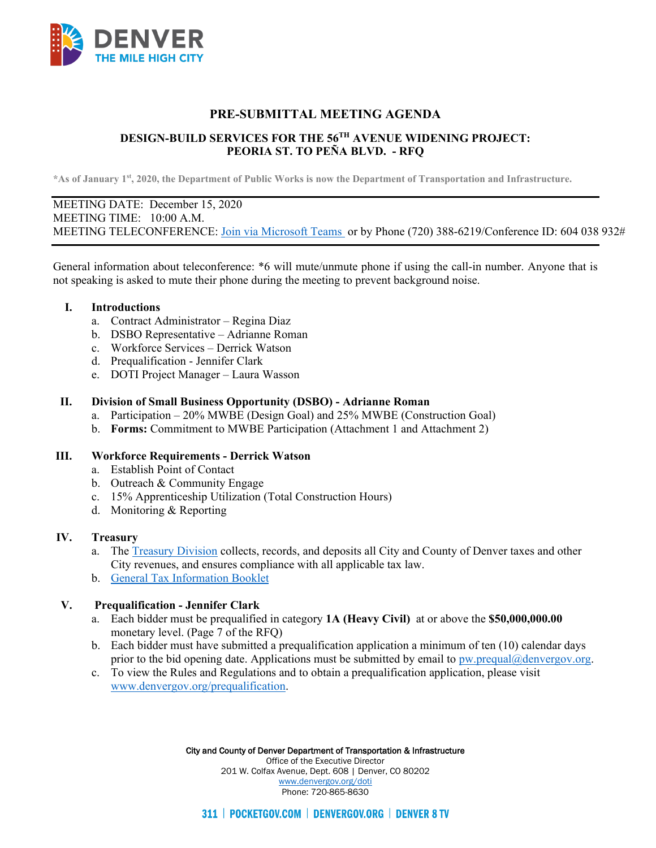

# **PRE-SUBMITTAL MEETING AGENDA**

# **DESIGN-BUILD SERVICES FOR THE 56TH AVENUE WIDENING PROJECT: PEORIA ST. TO PEÑA BLVD. - RFQ**

**\*As of January 1st, 2020, the Department of Public Works is now the Department of Transportation and Infrastructure.**

## MEETING DATE: December 15, 2020 MEETING TIME: 10:00 A.M. MEETING TELECONFERENCE: [Join via Microsoft Teams](https://teams.microsoft.com/dl/launcher/launcher.html?url=%2F_%23%2Fl%2Fmeetup-join%2F19%3Ameeting_NWQ4MjFjMWYtZTRjNS00NDE1LWEyYjYtYmM2MTE2YjJkOGE5%40thread.v2%2F0%3Fcontext%3D%257b%2522Tid%2522%253a%252239c87ab3-6612-42c0-9620-a696d12df803%2522%252c%2522Oid%2522%253a%25229cfd27a4-97f9-4da7-bfda-409e7ef99163%2522%257d%26anon%3Dtrue&type=meetup-join&deeplinkId=889f55ba-43cf-4be1-aba0-5ba10eecb94b&directDl=true&msLaunch=true&enableMobilePage=true&suppressPrompt=true) or by Phone (720) 388-6219/Conference ID: 604 038 932#

General information about teleconference: \*6 will mute/unmute phone if using the call-in number. Anyone that is not speaking is asked to mute their phone during the meeting to prevent background noise.

#### **I. Introductions**

- a. Contract Administrator Regina Diaz
- b. DSBO Representative Adrianne Roman
- c. Workforce Services Derrick Watson
- d. Prequalification Jennifer Clark
- e. DOTI Project Manager Laura Wasson

#### **II. Division of Small Business Opportunity (DSBO) - Adrianne Roman**

- a. Participation 20% MWBE (Design Goal) and 25% MWBE (Construction Goal)
- b. **Forms:** Commitment to MWBE Participation (Attachment 1 and Attachment 2)

## **III. Workforce Requirements - Derrick Watson**

- a. Establish Point of Contact
- b. Outreach & Community Engage
- c. 15% Apprenticeship Utilization (Total Construction Hours)
- d. Monitoring & Reporting

#### **IV. Treasury**

- a. The [Treasury Division](https://www.denvergov.org/content/denvergov/en/denver-department-of-finance/our-divisions/treasury-division.html) collects, records, and deposits all City and County of Denver taxes and other City revenues, and ensures compliance with all applicable tax law.
- b. [General Tax Information Booklet](https://www.denvergov.org/content/dam/denvergov/Portals/571/documents/TaxGuide/GeneralTaxInformationBooklet.pdf)

## **V. Prequalification - Jennifer Clark**

- a. Each bidder must be prequalified in category **1A (Heavy Civil)** at or above the **\$50,000,000.00**  monetary level. (Page 7 of the RFQ)
- b. Each bidder must have submitted a prequalification application a minimum of ten (10) calendar days prior to the bid opening date. Applications must be submitted by email to  $pw.prequal@denvergov.org$ .
- c. To view the Rules and Regulations and to obtain a prequalification application, please visit [www.denvergov.org/prequalification.](http://www.denvergov.org/prequalification)

City and County of Denver Department of Transportation & Infrastructure Office of the Executive Director 201 W. Colfax Avenue, Dept. 608 | Denver, CO 80202 [www.denvergov.org/doti](https://www.denvergov.org/content/denvergov/en/transportation-mobility.html) Phone: 720-865-8630